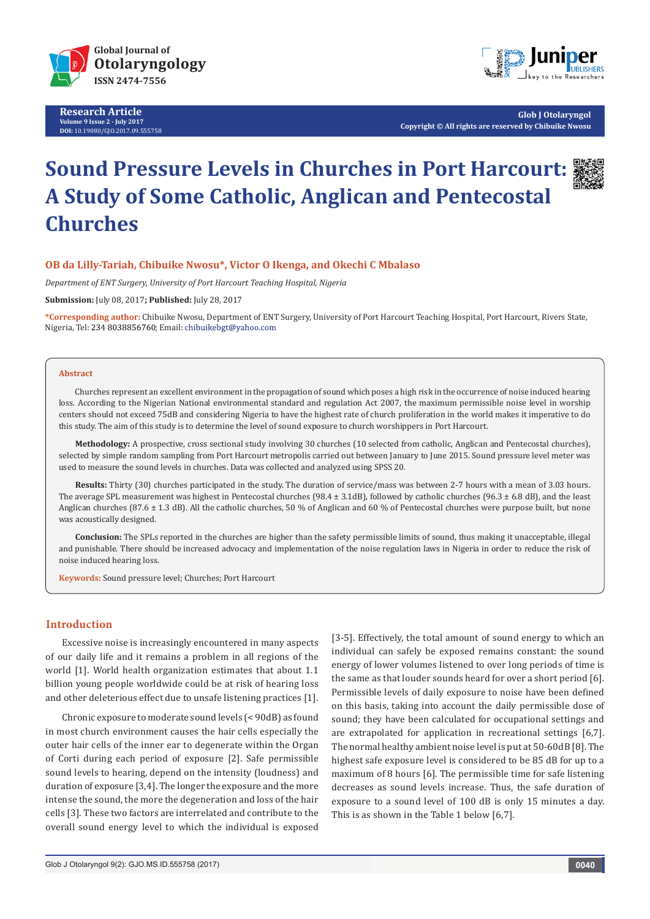

**Research Article Volume 9 Issue 2 - July 2017 DOI:** [10.19080/GJO.2017.09.555758](http://dx.doi.org/10.19080/GJO.2017.09.555758)



**Glob J Otolaryngol Copyright © All rights are reserved by Chibuike Nwosu**

# **Sound Pressure Levels in Churches in Port Harcourt: A Study of Some Catholic, Anglican and Pentecostal Churches**

# **OB da Lilly-Tariah, Chibuike Nwosu\*, Victor O Ikenga, and Okechi C Mbalaso**

*Department of ENT Surgery, University of Port Harcourt Teaching Hospital, Nigeria*

**Submission:** July 08, 2017**; Published:** July 28, 2017

**\*Corresponding author:** Chibuike Nwosu, Department of ENT Surgery, University of Port Harcourt Teaching Hospital, Port Harcourt, Rivers State, Nigeria, Tel: 234 8038856760; Email: chibuikebgt@yahoo.com

#### **Abstract**

Churches represent an excellent environment in the propagation of sound which poses a high risk in the occurrence of noise induced hearing loss. According to the Nigerian National environmental standard and regulation Act 2007, the maximum permissible noise level in worship centers should not exceed 75dB and considering Nigeria to have the highest rate of church proliferation in the world makes it imperative to do this study. The aim of this study is to determine the level of sound exposure to church worshippers in Port Harcourt.

**Methodology:** A prospective, cross sectional study involving 30 churches (10 selected from catholic, Anglican and Pentecostal churches), selected by simple random sampling from Port Harcourt metropolis carried out between January to June 2015. Sound pressure level meter was used to measure the sound levels in churches. Data was collected and analyzed using SPSS 20.

**Results:** Thirty (30) churches participated in the study. The duration of service/mass was between 2-7 hours with a mean of 3.03 hours. The average SPL measurement was highest in Pentecostal churches (98.4  $\pm$  3.1dB), followed by catholic churches (96.3  $\pm$  6.8 dB), and the least Anglican churches (87.6 ± 1.3 dB). All the catholic churches, 50 % of Anglican and 60 % of Pentecostal churches were purpose built, but none was acoustically designed.

**Conclusion:** The SPLs reported in the churches are higher than the safety permissible limits of sound, thus making it unacceptable, illegal and punishable. There should be increased advocacy and implementation of the noise regulation laws in Nigeria in order to reduce the risk of noise induced hearing loss.

**Keywords:** Sound pressure level; Churches; Port Harcourt

## **Introduction**

Excessive noise is increasingly encountered in many aspects of our daily life and it remains a problem in all regions of the world [1]. World health organization estimates that about 1.1 billion young people worldwide could be at risk of hearing loss and other deleterious effect due to unsafe listening practices [1].

Chronic exposure to moderate sound levels (< 90dB) as found in most church environment causes the hair cells especially the outer hair cells of the inner ear to degenerate within the Organ of Corti during each period of exposure [2]. Safe permissible sound levels to hearing, depend on the intensity (loudness) and duration of exposure [3,4]. The longer the exposure and the more intense the sound, the more the degeneration and loss of the hair cells [3]. These two factors are interrelated and contribute to the overall sound energy level to which the individual is exposed

[3-5]. Effectively, the total amount of sound energy to which an individual can safely be exposed remains constant: the sound energy of lower volumes listened to over long periods of time is the same as that louder sounds heard for over a short period [6]. Permissible levels of daily exposure to noise have been defined on this basis, taking into account the daily permissible dose of sound; they have been calculated for occupational settings and are extrapolated for application in recreational settings [6,7]. The normal healthy ambient noise level is put at 50-60dB [8]. The highest safe exposure level is considered to be 85 dB for up to a maximum of 8 hours [6]. The permissible time for safe listening decreases as sound levels increase. Thus, the safe duration of exposure to a sound level of 100 dB is only 15 minutes a day. This is as shown in the Table 1 below [6,7].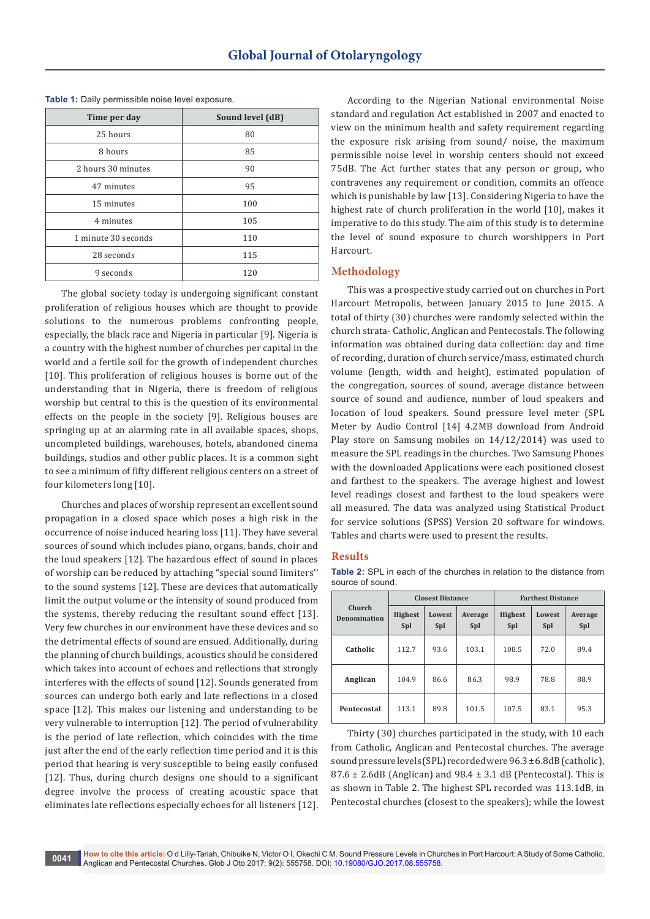| Time per day        | Sound level (dB) |
|---------------------|------------------|
| 25 hours            | 80               |
| 8 hours             | 85               |
| 2 hours 30 minutes  | 90               |
| 47 minutes          | 95               |
| 15 minutes          | 100              |
| 4 minutes           | 105              |
| 1 minute 30 seconds | 110              |
| 28 seconds          | 115              |
| 9 seconds           | 120              |

**Table 1:** Daily permissible noise level exposure.

The global society today is undergoing significant constant proliferation of religious houses which are thought to provide solutions to the numerous problems confronting people, especially, the black race and Nigeria in particular [9]. Nigeria is a country with the highest number of churches per capital in the world and a fertile soil for the growth of independent churches [10]. This proliferation of religious houses is borne out of the understanding that in Nigeria, there is freedom of religious worship but central to this is the question of its environmental effects on the people in the society [9]. Religious houses are springing up at an alarming rate in all available spaces, shops, uncompleted buildings, warehouses, hotels, abandoned cinema buildings, studios and other public places. It is a common sight to see a minimum of fifty different religious centers on a street of four kilometers long [10].

Churches and places of worship represent an excellent sound propagation in a closed space which poses a high risk in the occurrence of noise induced hearing loss [11]. They have several sources of sound which includes piano, organs, bands, choir and the loud speakers [12]. The hazardous effect of sound in places of worship can be reduced by attaching "special sound limiters'' to the sound systems [12]. These are devices that automatically limit the output volume or the intensity of sound produced from the systems, thereby reducing the resultant sound effect [13]. Very few churches in our environment have these devices and so the detrimental effects of sound are ensued. Additionally, during the planning of church buildings, acoustics should be considered which takes into account of echoes and reflections that strongly interferes with the effects of sound [12]. Sounds generated from sources can undergo both early and late reflections in a closed space [12]. This makes our listening and understanding to be very vulnerable to interruption [12]. The period of vulnerability is the period of late reflection, which coincides with the time just after the end of the early reflection time period and it is this period that hearing is very susceptible to being easily confused [12]. Thus, during church designs one should to a significant degree involve the process of creating acoustic space that eliminates late reflections especially echoes for all listeners [12].

According to the Nigerian National environmental Noise standard and regulation Act established in 2007 and enacted to view on the minimum health and safety requirement regarding the exposure risk arising from sound/ noise, the maximum permissible noise level in worship centers should not exceed 75dB. The Act further states that any person or group, who contravenes any requirement or condition, commits an offence which is punishable by law [13]. Considering Nigeria to have the highest rate of church proliferation in the world [10], makes it imperative to do this study. The aim of this study is to determine the level of sound exposure to church worshippers in Port Harcourt.

# **Methodology**

This was a prospective study carried out on churches in Port Harcourt Metropolis, between January 2015 to June 2015. A total of thirty (30) churches were randomly selected within the church strata- Catholic, Anglican and Pentecostals. The following information was obtained during data collection: day and time of recording, duration of church service/mass, estimated church volume (length, width and height), estimated population of the congregation, sources of sound, average distance between source of sound and audience, number of loud speakers and location of loud speakers. Sound pressure level meter (SPL Meter by Audio Control [14] 4.2MB download from Android Play store on Samsung mobiles on 14/12/2014) was used to measure the SPL readings in the churches. Two Samsung Phones with the downloaded Applications were each positioned closest and farthest to the speakers. The average highest and lowest level readings closest and farthest to the loud speakers were all measured. The data was analyzed using Statistical Product for service solutions (SPSS) Version 20 software for windows. Tables and charts were used to present the results.

#### **Results**

**Table 2:** SPL in each of the churches in relation to the distance from source of sound.

|                        |                                                          | <b>Closest Distance</b> |                                               | <b>Farthest Distance</b> |                |      |  |
|------------------------|----------------------------------------------------------|-------------------------|-----------------------------------------------|--------------------------|----------------|------|--|
| Church<br>Denomination | <b>Highest</b><br>Lowest<br>Average<br>Spl<br>Spl<br>Spl |                         | <b>Highest</b><br>Lowest<br><b>Spl</b><br>Spl |                          | Average<br>Spl |      |  |
| Catholic               | 112.7                                                    | 93.6                    | 103.1                                         | 108.5                    | 72.0           | 89.4 |  |
| Anglican               | 104.9                                                    | 86.6                    | 86.3                                          | 98.9                     | 78.8           | 88.9 |  |
| Pentecostal            | 113.1                                                    | 89.8                    | 101.5                                         | 107.5                    | 83.1           | 95.3 |  |

Thirty (30) churches participated in the study, with 10 each from Catholic, Anglican and Pentecostal churches. The average sound pressure levels (SPL) recorded were 96.3 ± 6.8dB (catholic),  $87.6 \pm 2.6$ dB (Anglican) and  $98.4 \pm 3.1$  dB (Pentecostal). This is as shown in Table 2. The highest SPL recorded was 113.1dB, in Pentecostal churches (closest to the speakers); while the lowest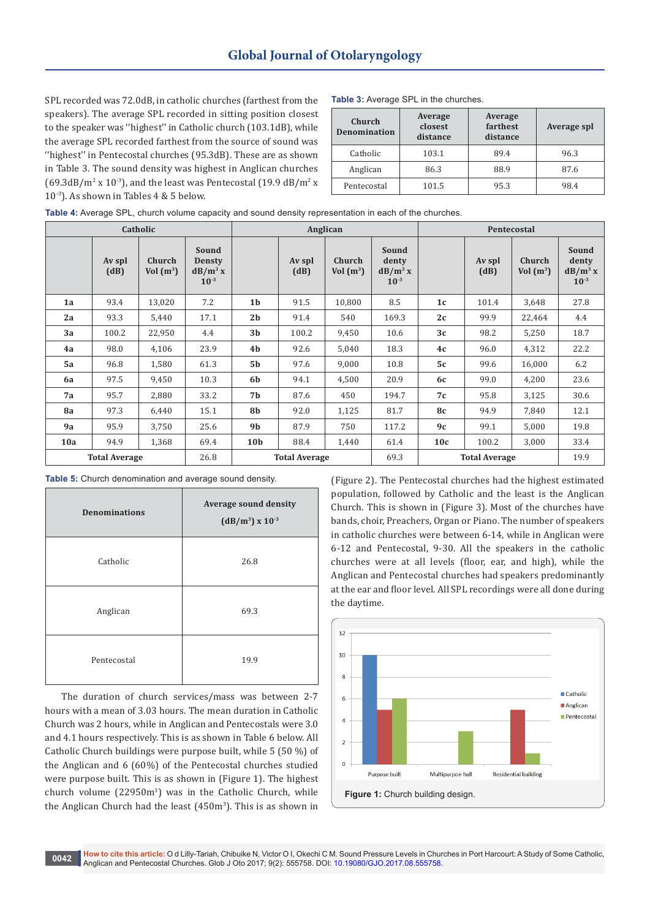SPL recorded was 72.0dB, in catholic churches (farthest from the speakers). The average SPL recorded in sitting position closest to the speaker was ''highest'' in Catholic church (103.1dB), while the average SPL recorded farthest from the source of sound was "highest" in Pentecostal churches (95.3dB). These are as shown in Table 3. The sound density was highest in Anglican churches  $(69.3dB/m<sup>2</sup> x 10<sup>-3</sup>)$ , and the least was Pentecostal  $(19.9 dB/m<sup>2</sup> x)$ 10-3). As shown in Tables 4 & 5 below.

| Table 3: Average SPL in the churches. |  |
|---------------------------------------|--|
|---------------------------------------|--|

| Church<br><b>Denomination</b> | Average<br>closest<br>distance | Average<br>farthest<br>distance | <b>Average spl</b> |
|-------------------------------|--------------------------------|---------------------------------|--------------------|
| Catholic                      | 103.1                          | 89.4                            | 96.3               |
| Anglican                      | 86.3                           | 88.9                            | 87.6               |
| Pentecostal                   | 101.5                          | 95.3                            | 98.4               |

|     |                      | Catholic                     |                                                   | Anglican             |                |                              |                                           |                | Pentecostal    |                       |                                           |
|-----|----------------------|------------------------------|---------------------------------------------------|----------------------|----------------|------------------------------|-------------------------------------------|----------------|----------------|-----------------------|-------------------------------------------|
|     | Av spl<br>(dB)       | <b>Church</b><br>Vol $(m^3)$ | Sound<br><b>Densty</b><br>$dB/m^3 x$<br>$10^{-3}$ |                      | Av spl<br>(dB) | <b>Church</b><br>Vol $(m^3)$ | Sound<br>denty<br>$dB/m^3 x$<br>$10^{-3}$ |                | Av spl<br>(dB) | Church<br>Vol $(m^3)$ | Sound<br>denty<br>$dB/m^3 x$<br>$10^{-3}$ |
| 1a  | 93.4                 | 13,020                       | 7.2                                               | 1 <sub>b</sub>       | 91.5           | 10,800                       | 8.5                                       | 1 <sub>c</sub> | 101.4          | 3,648                 | 27.8                                      |
| 2a  | 93.3                 | 5,440                        | 17.1                                              | 2 <sub>b</sub>       | 91.4           | 540                          | 169.3                                     | 2c             | 99.9           | 22,464                | 4.4                                       |
| 3a  | 100.2                | 22,950                       | 4.4                                               | 3b                   | 100.2          | 9,450                        | 10.6                                      | 3c             | 98.2           | 5,250                 | 18.7                                      |
| 4a  | 98.0                 | 4,106                        | 23.9                                              | 4 <sub>b</sub>       | 92.6           | 5,040                        | 18.3                                      | 4c             | 96.0           | 4,312                 | 22.2                                      |
| 5a  | 96.8                 | 1,580                        | 61.3                                              | 5 <sub>b</sub>       | 97.6           | 9,000                        | 10.8                                      | 5c             | 99.6           | 16,000                | 6.2                                       |
| 6a  | 97.5                 | 9,450                        | 10.3                                              | 6b                   | 94.1           | 4,500                        | 20.9                                      | 6c             | 99.0           | 4,200                 | 23.6                                      |
| 7a  | 95.7                 | 2,880                        | 33.2                                              | 7b                   | 87.6           | 450                          | 194.7                                     | 7с             | 95.8           | 3,125                 | 30.6                                      |
| 8a  | 97.3                 | 6,440                        | 15.1                                              | 8b                   | 92.0           | 1,125                        | 81.7                                      | <b>8c</b>      | 94.9           | 7,840                 | 12.1                                      |
| 9a  | 95.9                 | 3,750                        | 25.6                                              | 9 <sub>b</sub>       | 87.9           | 750                          | 117.2                                     | 9c             | 99.1           | 5,000                 | 19.8                                      |
| 10a | 94.9                 | 1,368                        | 69.4                                              | 10 <sub>b</sub>      | 88.4           | 1,440                        | 61.4                                      | 10c            | 100.2          | 3,000                 | 33.4                                      |
|     | <b>Total Average</b> |                              | 26.8                                              | <b>Total Average</b> |                | 69.3                         | <b>Total Average</b>                      |                |                | 19.9                  |                                           |

**Table 5:** Church denomination and average sound density.

| <b>Denominations</b> | <b>Average sound density</b><br>$(dB/m^3)$ x $10^{-3}$ |  |
|----------------------|--------------------------------------------------------|--|
| Catholic             | 26.8                                                   |  |
| Anglican             | 69.3                                                   |  |
| Pentecostal          | 19.9                                                   |  |

The duration of church services/mass was between 2-7 hours with a mean of 3.03 hours. The mean duration in Catholic Church was 2 hours, while in Anglican and Pentecostals were 3.0 and 4.1 hours respectively. This is as shown in Table 6 below. All Catholic Church buildings were purpose built, while 5 (50 %) of the Anglican and 6 (60%) of the Pentecostal churches studied were purpose built. This is as shown in (Figure 1). The highest church volume (22950m<sup>3</sup> ) was in the Catholic Church, while the Anglican Church had the least (450m<sup>3</sup>). This is as shown in (Figure 2). The Pentecostal churches had the highest estimated population, followed by Catholic and the least is the Anglican Church. This is shown in (Figure 3). Most of the churches have bands, choir, Preachers, Organ or Piano. The number of speakers in catholic churches were between 6-14, while in Anglican were 6-12 and Pentecostal, 9-30. All the speakers in the catholic churches were at all levels (floor, ear, and high), while the Anglican and Pentecostal churches had speakers predominantly at the ear and floor level. All SPL recordings were all done during the daytime.

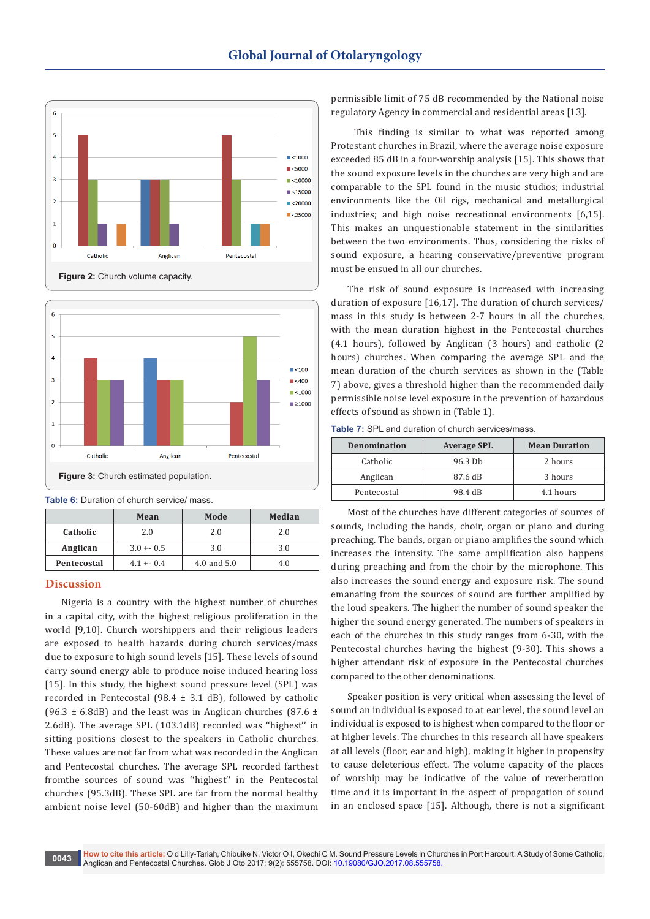



**Table 6:** Duration of church service/ mass.

|             | Mean         | Mode        | Median |  |
|-------------|--------------|-------------|--------|--|
| Catholic    | 2.0          | 2.0         | 2.0    |  |
| Anglican    | $3.0 + -0.5$ | 3.0         | 3.0    |  |
| Pentecostal | $4.1 + 0.4$  | 4.0 and 5.0 | 4.0    |  |

## **Discussion**

Nigeria is a country with the highest number of churches in a capital city, with the highest religious proliferation in the world [9,10]. Church worshippers and their religious leaders are exposed to health hazards during church services/mass due to exposure to high sound levels [15]. These levels of sound carry sound energy able to produce noise induced hearing loss [15]. In this study, the highest sound pressure level (SPL) was recorded in Pentecostal (98.4 ± 3.1 dB), followed by catholic (96.3  $\pm$  6.8dB) and the least was in Anglican churches (87.6  $\pm$ 2.6dB). The average SPL (103.1dB) recorded was ''highest'' in sitting positions closest to the speakers in Catholic churches. These values are not far from what was recorded in the Anglican and Pentecostal churches. The average SPL recorded farthest fromthe sources of sound was ''highest'' in the Pentecostal churches (95.3dB). These SPL are far from the normal healthy ambient noise level (50-60dB) and higher than the maximum

permissible limit of 75 dB recommended by the National noise regulatory Agency in commercial and residential areas [13].

 This finding is similar to what was reported among Protestant churches in Brazil, where the average noise exposure exceeded 85 dB in a four-worship analysis [15]. This shows that the sound exposure levels in the churches are very high and are comparable to the SPL found in the music studios; industrial environments like the Oil rigs, mechanical and metallurgical industries; and high noise recreational environments [6,15]. This makes an unquestionable statement in the similarities between the two environments. Thus, considering the risks of sound exposure, a hearing conservative/preventive program must be ensued in all our churches.

The risk of sound exposure is increased with increasing duration of exposure [16,17]. The duration of church services/ mass in this study is between 2-7 hours in all the churches, with the mean duration highest in the Pentecostal churches (4.1 hours), followed by Anglican (3 hours) and catholic (2 hours) churches. When comparing the average SPL and the mean duration of the church services as shown in the (Table 7) above, gives a threshold higher than the recommended daily permissible noise level exposure in the prevention of hazardous effects of sound as shown in (Table 1).

**Table 7:** SPL and duration of church services/mass.

| <b>Denomination</b> | <b>Average SPL</b> | <b>Mean Duration</b> |
|---------------------|--------------------|----------------------|
| Catholic            | 96.3 Db            | 2 hours              |
| Anglican            | 87.6 dB            | 3 hours              |
| Pentecostal         | 98.4 dB            | 4.1 hours            |

Most of the churches have different categories of sources of sounds, including the bands, choir, organ or piano and during preaching. The bands, organ or piano amplifies the sound which increases the intensity. The same amplification also happens during preaching and from the choir by the microphone. This also increases the sound energy and exposure risk. The sound emanating from the sources of sound are further amplified by the loud speakers. The higher the number of sound speaker the higher the sound energy generated. The numbers of speakers in each of the churches in this study ranges from 6-30, with the Pentecostal churches having the highest (9-30). This shows a higher attendant risk of exposure in the Pentecostal churches compared to the other denominations.

Speaker position is very critical when assessing the level of sound an individual is exposed to at ear level, the sound level an individual is exposed to is highest when compared to the floor or at higher levels. The churches in this research all have speakers at all levels (floor, ear and high), making it higher in propensity to cause deleterious effect. The volume capacity of the places of worship may be indicative of the value of reverberation time and it is important in the aspect of propagation of sound in an enclosed space [15]. Although, there is not a significant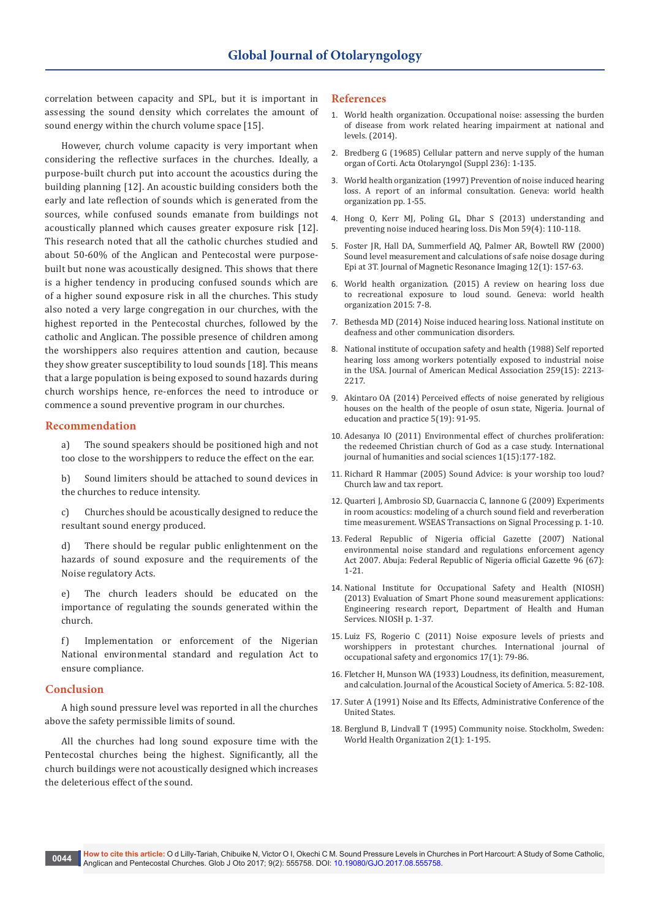correlation between capacity and SPL, but it is important in assessing the sound density which correlates the amount of sound energy within the church volume space [15].

However, church volume capacity is very important when considering the reflective surfaces in the churches. Ideally, a purpose-built church put into account the acoustics during the building planning [12]. An acoustic building considers both the early and late reflection of sounds which is generated from the sources, while confused sounds emanate from buildings not acoustically planned which causes greater exposure risk [12]. This research noted that all the catholic churches studied and about 50-60% of the Anglican and Pentecostal were purposebuilt but none was acoustically designed. This shows that there is a higher tendency in producing confused sounds which are of a higher sound exposure risk in all the churches. This study also noted a very large congregation in our churches, with the highest reported in the Pentecostal churches, followed by the catholic and Anglican. The possible presence of children among the worshippers also requires attention and caution, because they show greater susceptibility to loud sounds [18]. This means that a large population is being exposed to sound hazards during church worships hence, re-enforces the need to introduce or commence a sound preventive program in our churches.

## **Recommendation**

a) The sound speakers should be positioned high and not too close to the worshippers to reduce the effect on the ear.

b) Sound limiters should be attached to sound devices in the churches to reduce intensity.

c) Churches should be acoustically designed to reduce the resultant sound energy produced.

d) There should be regular public enlightenment on the hazards of sound exposure and the requirements of the Noise regulatory Acts.

The church leaders should be educated on the importance of regulating the sounds generated within the church.

f) Implementation or enforcement of the Nigerian National environmental standard and regulation Act to ensure compliance.

## **Conclusion**

A high sound pressure level was reported in all the churches above the safety permissible limits of sound.

All the churches had long sound exposure time with the Pentecostal churches being the highest. Significantly, all the church buildings were not acoustically designed which increases the deleterious effect of the sound.

#### **References**

- 1. [World health organization. Occupational noise: assessing the burden](http://www.who.int/quantifying_ehimpacts/publications/9241591927/en/)  [of disease from work related hearing impairment at national and](http://www.who.int/quantifying_ehimpacts/publications/9241591927/en/)  [levels. \(2014\).](http://www.who.int/quantifying_ehimpacts/publications/9241591927/en/)
- 2. [Bredberg G \(19685\) Cellular pattern and nerve supply of the human](https://www.ncbi.nlm.nih.gov/pubmed/4886545)  [organ of Corti. Acta Otolaryngol \(Suppl 236\): 1-135.](https://www.ncbi.nlm.nih.gov/pubmed/4886545)
- 3. [World health organization \(1997\) Prevention of noise induced hearing](http://www.who.int/pbd/deafness/en/noise.pdf)  [loss. A report of an informal consultation. Geneva: world health](http://www.who.int/pbd/deafness/en/noise.pdf)  [organization pp. 1-55.](http://www.who.int/pbd/deafness/en/noise.pdf)
- 4. [Hong O, Kerr MJ, Poling GL, Dhar S \(2013\) understanding and](https://www.ncbi.nlm.nih.gov/pubmed/23507351)  [preventing noise induced hearing loss. Dis Mon 59\(4\): 110-118.](https://www.ncbi.nlm.nih.gov/pubmed/23507351)
- 5. [Foster JR, Hall DA, Summerfield AQ, Palmer AR, Bowtell RW \(2000\)](https://www.ncbi.nlm.nih.gov/pubmed/10931575)  [Sound level measurement and calculations of safe noise dosage during](https://www.ncbi.nlm.nih.gov/pubmed/10931575)  [Epi at 3T. Journal of Magnetic Resonance Imaging 12\(1\): 157-63.](https://www.ncbi.nlm.nih.gov/pubmed/10931575)
- 6. [World health organization. \(2015\) A review on hearing loss due](http://apps.who.int/iris/handle/10665/154589)  [to recreational exposure to loud sound. Geneva: world health](http://apps.who.int/iris/handle/10665/154589)  [organization 2015: 7-8.](http://apps.who.int/iris/handle/10665/154589)
- 7. [Bethesda MD \(2014\) Noise induced hearing loss. National institute on](https://www.nidcd.nih.gov/health/noise-induced-hearing-loss)  [deafness and other communication disorders.](https://www.nidcd.nih.gov/health/noise-induced-hearing-loss)
- 8. [National institute of occupation safety and health \(1988\) Self reported](https://www.cdc.gov/mmwr/preview/mmwrhtml/00001058.htm)  [hearing loss among workers potentially exposed to industrial noise](https://www.cdc.gov/mmwr/preview/mmwrhtml/00001058.htm)  [in the USA. Journal of American Medical Association 259\(15\): 2213-](https://www.cdc.gov/mmwr/preview/mmwrhtml/00001058.htm) [2217.](https://www.cdc.gov/mmwr/preview/mmwrhtml/00001058.htm)
- 9. [Akintaro OA \(2014\) Perceived effects of noise generated by religious](http://www.iiste.org/Journals/index.php/JEP/article/view/13950)  [houses on the health of the people of osun state, Nigeria. Journal of](http://www.iiste.org/Journals/index.php/JEP/article/view/13950)  [education and practice 5\(19\): 91-95.](http://www.iiste.org/Journals/index.php/JEP/article/view/13950)
- 10. [Adesanya IO \(2011\) Environmental effect of churches proliferation:](http://www.ijhssnet.com/journals/Vol_1_No_15_Special_Issue_October.../21.pdf)  [the redeemed Christian church of God as a case study. International](http://www.ijhssnet.com/journals/Vol_1_No_15_Special_Issue_October.../21.pdf)  [journal of humanities and social sciences 1\(15\):177-182.](http://www.ijhssnet.com/journals/Vol_1_No_15_Special_Issue_October.../21.pdf)
- 11. [Richard R Hammar \(2005\) Sound Advice: is your worship too loud?](http://www.churchlawandtax.com/cltr/2005/november-december/sound-advice-is-your-worship-too-loud.html)  [Church law and tax report.](http://www.churchlawandtax.com/cltr/2005/november-december/sound-advice-is-your-worship-too-loud.html)
- 12. [Quarteri J, Ambrosio SD, Guarnaccia C, Iannone G \(2009\) Experiments](http://citeseerx.ist.psu.edu/viewdoc/download?doi=10.1.1.565.9026&rep=rep1&type=pdf)  [in room acoustics: modeling of a church sound field and reverberation](http://citeseerx.ist.psu.edu/viewdoc/download?doi=10.1.1.565.9026&rep=rep1&type=pdf)  [time measurement. WSEAS Transactions on Signal Processing p. 1-10.](http://citeseerx.ist.psu.edu/viewdoc/download?doi=10.1.1.565.9026&rep=rep1&type=pdf)
- 13. [Federal Republic of Nigeria official Gazette \(2007\) National](http://extwprlegs1.fao.org/docs/pdf/nig120569.pdf)  [environmental noise standard and regulations enforcement agency](http://extwprlegs1.fao.org/docs/pdf/nig120569.pdf)  [Act 2007. Abuja: Federal Republic of Nigeria official Gazette 96 \(67\):](http://extwprlegs1.fao.org/docs/pdf/nig120569.pdf)  [1-21.](http://extwprlegs1.fao.org/docs/pdf/nig120569.pdf)
- 14. [National Institute for Occupational Safety and Health \(NIOSH\)](https://www.cdc.gov/niosh/surveyreports/pdfs/349-12a.pdf)  [\(2013\) Evaluation of Smart Phone sound measurement applications:](https://www.cdc.gov/niosh/surveyreports/pdfs/349-12a.pdf)  [Engineering research report, Department of Health and Human](https://www.cdc.gov/niosh/surveyreports/pdfs/349-12a.pdf)  [Services. NIOSH p. 1-37.](https://www.cdc.gov/niosh/surveyreports/pdfs/349-12a.pdf)
- 15. [Luiz FS, Rogerio C \(2011\) Noise exposure levels of priests and](https://www.ncbi.nlm.nih.gov/pubmed/21375956)  [worshippers in protestant churches. International journal of](https://www.ncbi.nlm.nih.gov/pubmed/21375956)  [occupational safety and ergonomics 17\(1\): 79-86.](https://www.ncbi.nlm.nih.gov/pubmed/21375956)
- 16. [Fletcher H, Munson WA \(1933\) Loudness, its definition, measurement,](http://asa.scitation.org/doi/abs/10.1121/1.1915637)  [and calculation. Journal of the Acoustical Society of America. 5: 82-108.](http://asa.scitation.org/doi/abs/10.1121/1.1915637)
- 17. Suter A (1991) Noise and Its Effects, Administrative Conference of the United States.
- 18. [Berglund B, Lindvall T \(1995\) Community noise. Stockholm, Sweden:](http://www.nonoise.org/library/whonoise/whonoise.htm)  [World Health Organization 2\(1\): 1-195.](http://www.nonoise.org/library/whonoise/whonoise.htm)